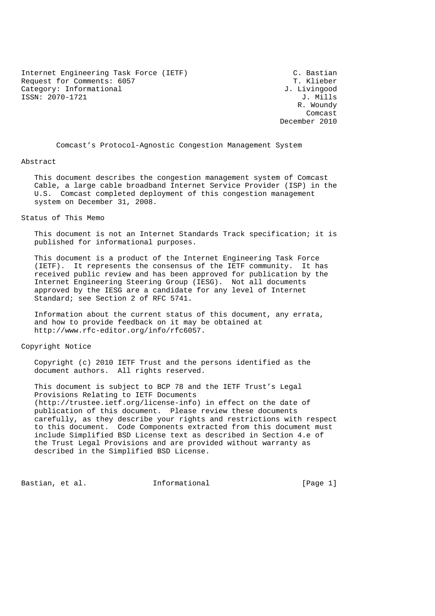Internet Engineering Task Force (IETF) (C. Bastian<br>Request for Comments: 6057 Request for Comments: 6057 Category: Informational  $J.$  Livingood ISSN: 2070-1721 J. Mills

R. Woundy R. Woundy R. Woundy R. Woundy R. Woundy R. Woundy R. Woundy R. Woundy R. Woundy R. Woundy R. Woundy R. Wound **Comcast** Comcast Company of the Company of the Company of the Company of the Company of the Company of the Company of the Company of the Company of the Company of the Company of the Company of the Company of the Company o December 2010

Comcast's Protocol-Agnostic Congestion Management System

#### Abstract

 This document describes the congestion management system of Comcast Cable, a large cable broadband Internet Service Provider (ISP) in the U.S. Comcast completed deployment of this congestion management system on December 31, 2008.

#### Status of This Memo

 This document is not an Internet Standards Track specification; it is published for informational purposes.

 This document is a product of the Internet Engineering Task Force (IETF). It represents the consensus of the IETF community. It has received public review and has been approved for publication by the Internet Engineering Steering Group (IESG). Not all documents approved by the IESG are a candidate for any level of Internet Standard; see Section 2 of RFC 5741.

 Information about the current status of this document, any errata, and how to provide feedback on it may be obtained at http://www.rfc-editor.org/info/rfc6057.

#### Copyright Notice

 Copyright (c) 2010 IETF Trust and the persons identified as the document authors. All rights reserved.

 This document is subject to BCP 78 and the IETF Trust's Legal Provisions Relating to IETF Documents (http://trustee.ietf.org/license-info) in effect on the date of publication of this document. Please review these documents carefully, as they describe your rights and restrictions with respect to this document. Code Components extracted from this document must include Simplified BSD License text as described in Section 4.e of the Trust Legal Provisions and are provided without warranty as described in the Simplified BSD License.

Bastian, et al. Informational [Page 1]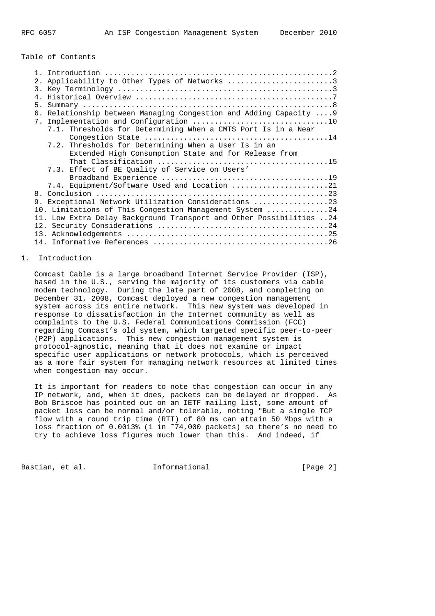## Table of Contents

|  | 2. Applicability to Other Types of Networks 3                       |
|--|---------------------------------------------------------------------|
|  |                                                                     |
|  |                                                                     |
|  |                                                                     |
|  | 6. Relationship between Managing Congestion and Adding Capacity  9  |
|  |                                                                     |
|  | 7.1. Thresholds for Determining When a CMTS Port Is in a Near       |
|  |                                                                     |
|  | 7.2. Thresholds for Determining When a User Is in an                |
|  | Extended High Consumption State and for Release from                |
|  |                                                                     |
|  | 7.3. Effect of BE Quality of Service on Users'                      |
|  |                                                                     |
|  | 7.4. Equipment/Software Used and Location 21                        |
|  |                                                                     |
|  | 9. Exceptional Network Utilization Considerations 23                |
|  | 10. Limitations of This Congestion Management System 24             |
|  | 11. Low Extra Delay Background Transport and Other Possibilities 24 |
|  |                                                                     |
|  |                                                                     |
|  |                                                                     |

# 1. Introduction

 Comcast Cable is a large broadband Internet Service Provider (ISP), based in the U.S., serving the majority of its customers via cable modem technology. During the late part of 2008, and completing on December 31, 2008, Comcast deployed a new congestion management system across its entire network. This new system was developed in response to dissatisfaction in the Internet community as well as complaints to the U.S. Federal Communications Commission (FCC) regarding Comcast's old system, which targeted specific peer-to-peer (P2P) applications. This new congestion management system is protocol-agnostic, meaning that it does not examine or impact specific user applications or network protocols, which is perceived as a more fair system for managing network resources at limited times when congestion may occur.

 It is important for readers to note that congestion can occur in any IP network, and, when it does, packets can be delayed or dropped. As Bob Briscoe has pointed out on an IETF mailing list, some amount of packet loss can be normal and/or tolerable, noting "But a single TCP flow with a round trip time (RTT) of 80 ms can attain 50 Mbps with a loss fraction of 0.0013% (1 in ~74,000 packets) so there's no need to try to achieve loss figures much lower than this. And indeed, if

Bastian, et al. **Informational** [Page 2]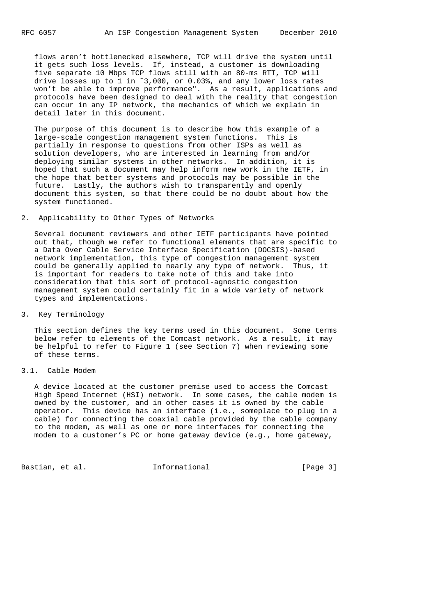flows aren't bottlenecked elsewhere, TCP will drive the system until it gets such loss levels. If, instead, a customer is downloading five separate 10 Mbps TCP flows still with an 80-ms RTT, TCP will drive losses up to 1 in ˜3,000, or 0.03%, and any lower loss rates won't be able to improve performance". As a result, applications and protocols have been designed to deal with the reality that congestion can occur in any IP network, the mechanics of which we explain in detail later in this document.

 The purpose of this document is to describe how this example of a large-scale congestion management system functions. This is partially in response to questions from other ISPs as well as solution developers, who are interested in learning from and/or deploying similar systems in other networks. In addition, it is hoped that such a document may help inform new work in the IETF, in the hope that better systems and protocols may be possible in the future. Lastly, the authors wish to transparently and openly document this system, so that there could be no doubt about how the system functioned.

2. Applicability to Other Types of Networks

 Several document reviewers and other IETF participants have pointed out that, though we refer to functional elements that are specific to a Data Over Cable Service Interface Specification (DOCSIS)-based network implementation, this type of congestion management system could be generally applied to nearly any type of network. Thus, it is important for readers to take note of this and take into consideration that this sort of protocol-agnostic congestion management system could certainly fit in a wide variety of network types and implementations.

3. Key Terminology

 This section defines the key terms used in this document. Some terms below refer to elements of the Comcast network. As a result, it may be helpful to refer to Figure 1 (see Section 7) when reviewing some of these terms.

## 3.1. Cable Modem

 A device located at the customer premise used to access the Comcast High Speed Internet (HSI) network. In some cases, the cable modem is owned by the customer, and in other cases it is owned by the cable operator. This device has an interface (i.e., someplace to plug in a cable) for connecting the coaxial cable provided by the cable company to the modem, as well as one or more interfaces for connecting the modem to a customer's PC or home gateway device (e.g., home gateway,

Bastian, et al. 1nformational [Page 3]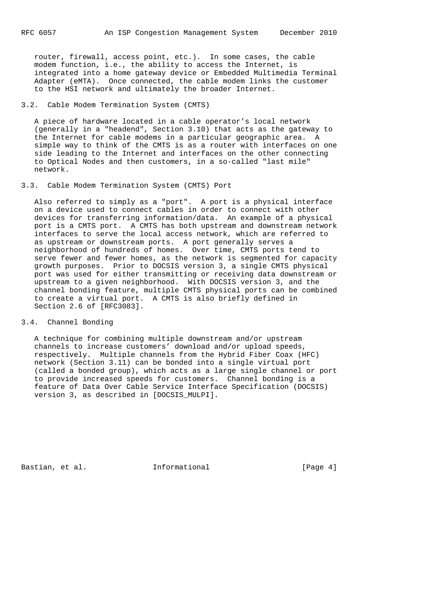router, firewall, access point, etc.). In some cases, the cable modem function, i.e., the ability to access the Internet, is integrated into a home gateway device or Embedded Multimedia Terminal Adapter (eMTA). Once connected, the cable modem links the customer to the HSI network and ultimately the broader Internet.

3.2. Cable Modem Termination System (CMTS)

 A piece of hardware located in a cable operator's local network (generally in a "headend", Section 3.10) that acts as the gateway to the Internet for cable modems in a particular geographic area. A simple way to think of the CMTS is as a router with interfaces on one side leading to the Internet and interfaces on the other connecting to Optical Nodes and then customers, in a so-called "last mile" network.

3.3. Cable Modem Termination System (CMTS) Port

 Also referred to simply as a "port". A port is a physical interface on a device used to connect cables in order to connect with other devices for transferring information/data. An example of a physical port is a CMTS port. A CMTS has both upstream and downstream network interfaces to serve the local access network, which are referred to as upstream or downstream ports. A port generally serves a neighborhood of hundreds of homes. Over time, CMTS ports tend to serve fewer and fewer homes, as the network is segmented for capacity growth purposes. Prior to DOCSIS version 3, a single CMTS physical port was used for either transmitting or receiving data downstream or upstream to a given neighborhood. With DOCSIS version 3, and the channel bonding feature, multiple CMTS physical ports can be combined to create a virtual port. A CMTS is also briefly defined in Section 2.6 of [RFC3083].

# 3.4. Channel Bonding

 A technique for combining multiple downstream and/or upstream channels to increase customers' download and/or upload speeds, respectively. Multiple channels from the Hybrid Fiber Coax (HFC) network (Section 3.11) can be bonded into a single virtual port (called a bonded group), which acts as a large single channel or port to provide increased speeds for customers. Channel bonding is a feature of Data Over Cable Service Interface Specification (DOCSIS) version 3, as described in [DOCSIS\_MULPI].

Bastian, et al. **Informational** [Page 4]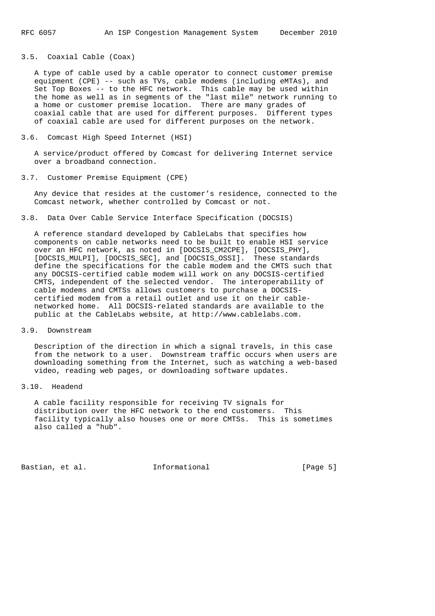3.5. Coaxial Cable (Coax)

 A type of cable used by a cable operator to connect customer premise equipment (CPE) -- such as TVs, cable modems (including eMTAs), and Set Top Boxes -- to the HFC network. This cable may be used within the home as well as in segments of the "last mile" network running to a home or customer premise location. There are many grades of coaxial cable that are used for different purposes. Different types of coaxial cable are used for different purposes on the network.

#### 3.6. Comcast High Speed Internet (HSI)

 A service/product offered by Comcast for delivering Internet service over a broadband connection.

## 3.7. Customer Premise Equipment (CPE)

 Any device that resides at the customer's residence, connected to the Comcast network, whether controlled by Comcast or not.

### 3.8. Data Over Cable Service Interface Specification (DOCSIS)

 A reference standard developed by CableLabs that specifies how components on cable networks need to be built to enable HSI service over an HFC network, as noted in [DOCSIS\_CM2CPE], [DOCSIS\_PHY], [DOCSIS\_MULPI], [DOCSIS\_SEC], and [DOCSIS\_OSSI]. These standards define the specifications for the cable modem and the CMTS such that any DOCSIS-certified cable modem will work on any DOCSIS-certified CMTS, independent of the selected vendor. The interoperability of cable modems and CMTSs allows customers to purchase a DOCSIS certified modem from a retail outlet and use it on their cable networked home. All DOCSIS-related standards are available to the public at the CableLabs website, at http://www.cablelabs.com.

#### 3.9. Downstream

 Description of the direction in which a signal travels, in this case from the network to a user. Downstream traffic occurs when users are downloading something from the Internet, such as watching a web-based video, reading web pages, or downloading software updates.

## 3.10. Headend

 A cable facility responsible for receiving TV signals for distribution over the HFC network to the end customers. This facility typically also houses one or more CMTSs. This is sometimes also called a "hub".

Bastian, et al. 1nformational [Page 5]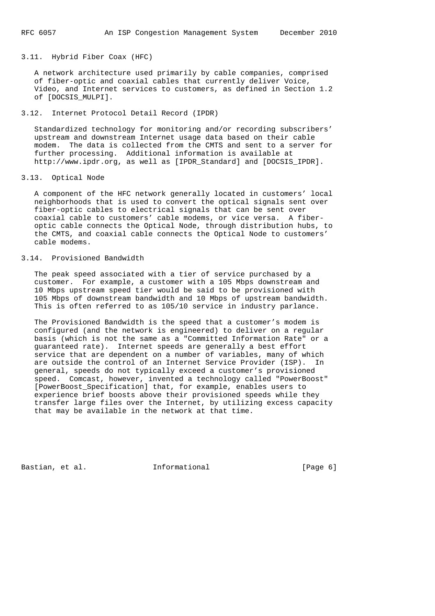3.11. Hybrid Fiber Coax (HFC)

 A network architecture used primarily by cable companies, comprised of fiber-optic and coaxial cables that currently deliver Voice, Video, and Internet services to customers, as defined in Section 1.2 of [DOCSIS\_MULPI].

## 3.12. Internet Protocol Detail Record (IPDR)

 Standardized technology for monitoring and/or recording subscribers' upstream and downstream Internet usage data based on their cable modem. The data is collected from the CMTS and sent to a server for further processing. Additional information is available at http://www.ipdr.org, as well as [IPDR\_Standard] and [DOCSIS\_IPDR].

## 3.13. Optical Node

 A component of the HFC network generally located in customers' local neighborhoods that is used to convert the optical signals sent over fiber-optic cables to electrical signals that can be sent over coaxial cable to customers' cable modems, or vice versa. A fiber optic cable connects the Optical Node, through distribution hubs, to the CMTS, and coaxial cable connects the Optical Node to customers' cable modems.

# 3.14. Provisioned Bandwidth

 The peak speed associated with a tier of service purchased by a customer. For example, a customer with a 105 Mbps downstream and 10 Mbps upstream speed tier would be said to be provisioned with 105 Mbps of downstream bandwidth and 10 Mbps of upstream bandwidth. This is often referred to as 105/10 service in industry parlance.

 The Provisioned Bandwidth is the speed that a customer's modem is configured (and the network is engineered) to deliver on a regular basis (which is not the same as a "Committed Information Rate" or a guaranteed rate). Internet speeds are generally a best effort service that are dependent on a number of variables, many of which are outside the control of an Internet Service Provider (ISP). In general, speeds do not typically exceed a customer's provisioned speed. Comcast, however, invented a technology called "PowerBoost" [PowerBoost\_Specification] that, for example, enables users to experience brief boosts above their provisioned speeds while they transfer large files over the Internet, by utilizing excess capacity that may be available in the network at that time.

Bastian, et al. 1nformational 1996 [Page 6]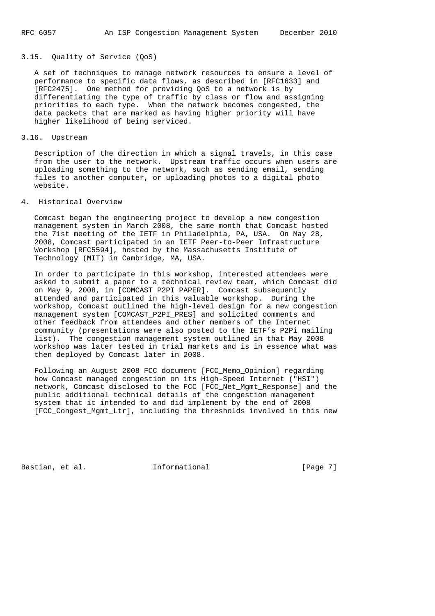## 3.15. Quality of Service (QoS)

 A set of techniques to manage network resources to ensure a level of performance to specific data flows, as described in [RFC1633] and [RFC2475]. One method for providing QoS to a network is by differentiating the type of traffic by class or flow and assigning priorities to each type. When the network becomes congested, the data packets that are marked as having higher priority will have higher likelihood of being serviced.

## 3.16. Upstream

 Description of the direction in which a signal travels, in this case from the user to the network. Upstream traffic occurs when users are uploading something to the network, such as sending email, sending files to another computer, or uploading photos to a digital photo website.

#### 4. Historical Overview

 Comcast began the engineering project to develop a new congestion management system in March 2008, the same month that Comcast hosted the 71st meeting of the IETF in Philadelphia, PA, USA. On May 28, 2008, Comcast participated in an IETF Peer-to-Peer Infrastructure Workshop [RFC5594], hosted by the Massachusetts Institute of Technology (MIT) in Cambridge, MA, USA.

 In order to participate in this workshop, interested attendees were asked to submit a paper to a technical review team, which Comcast did on May 9, 2008, in [COMCAST\_P2PI\_PAPER]. Comcast subsequently attended and participated in this valuable workshop. During the workshop, Comcast outlined the high-level design for a new congestion management system [COMCAST\_P2PI\_PRES] and solicited comments and other feedback from attendees and other members of the Internet community (presentations were also posted to the IETF's P2Pi mailing list). The congestion management system outlined in that May 2008 workshop was later tested in trial markets and is in essence what was then deployed by Comcast later in 2008.

 Following an August 2008 FCC document [FCC\_Memo\_Opinion] regarding how Comcast managed congestion on its High-Speed Internet ("HSI") network, Comcast disclosed to the FCC [FCC\_Net\_Mgmt\_Response] and the public additional technical details of the congestion management system that it intended to and did implement by the end of 2008 [FCC\_Congest\_Mgmt\_Ltr], including the thresholds involved in this new

Bastian, et al. **Informational** [Page 7]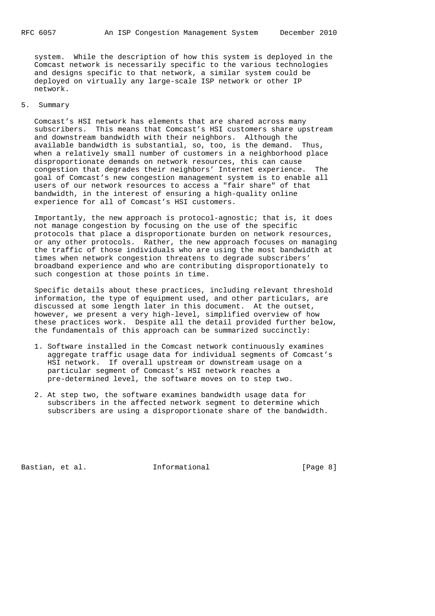system. While the description of how this system is deployed in the Comcast network is necessarily specific to the various technologies and designs specific to that network, a similar system could be deployed on virtually any large-scale ISP network or other IP network.

## 5. Summary

 Comcast's HSI network has elements that are shared across many subscribers. This means that Comcast's HSI customers share upstream and downstream bandwidth with their neighbors. Although the available bandwidth is substantial, so, too, is the demand. Thus, when a relatively small number of customers in a neighborhood place disproportionate demands on network resources, this can cause congestion that degrades their neighbors' Internet experience. The goal of Comcast's new congestion management system is to enable all users of our network resources to access a "fair share" of that bandwidth, in the interest of ensuring a high-quality online experience for all of Comcast's HSI customers.

 Importantly, the new approach is protocol-agnostic; that is, it does not manage congestion by focusing on the use of the specific protocols that place a disproportionate burden on network resources, or any other protocols. Rather, the new approach focuses on managing the traffic of those individuals who are using the most bandwidth at times when network congestion threatens to degrade subscribers' broadband experience and who are contributing disproportionately to such congestion at those points in time.

 Specific details about these practices, including relevant threshold information, the type of equipment used, and other particulars, are discussed at some length later in this document. At the outset, however, we present a very high-level, simplified overview of how these practices work. Despite all the detail provided further below, the fundamentals of this approach can be summarized succinctly:

- 1. Software installed in the Comcast network continuously examines aggregate traffic usage data for individual segments of Comcast's HSI network. If overall upstream or downstream usage on a particular segment of Comcast's HSI network reaches a pre-determined level, the software moves on to step two.
- 2. At step two, the software examines bandwidth usage data for subscribers in the affected network segment to determine which subscribers are using a disproportionate share of the bandwidth.

Bastian, et al. **Informational** [Page 8]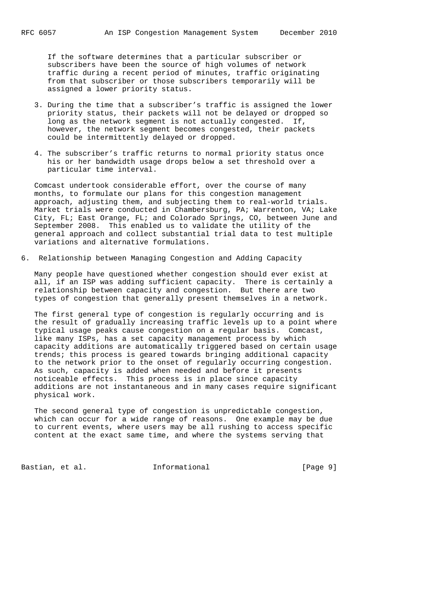If the software determines that a particular subscriber or subscribers have been the source of high volumes of network traffic during a recent period of minutes, traffic originating from that subscriber or those subscribers temporarily will be assigned a lower priority status.

- 3. During the time that a subscriber's traffic is assigned the lower priority status, their packets will not be delayed or dropped so long as the network segment is not actually congested. If, however, the network segment becomes congested, their packets could be intermittently delayed or dropped.
- 4. The subscriber's traffic returns to normal priority status once his or her bandwidth usage drops below a set threshold over a particular time interval.

 Comcast undertook considerable effort, over the course of many months, to formulate our plans for this congestion management approach, adjusting them, and subjecting them to real-world trials. Market trials were conducted in Chambersburg, PA; Warrenton, VA; Lake City, FL; East Orange, FL; and Colorado Springs, CO, between June and September 2008. This enabled us to validate the utility of the general approach and collect substantial trial data to test multiple variations and alternative formulations.

6. Relationship between Managing Congestion and Adding Capacity

 Many people have questioned whether congestion should ever exist at all, if an ISP was adding sufficient capacity. There is certainly a relationship between capacity and congestion. But there are two types of congestion that generally present themselves in a network.

 The first general type of congestion is regularly occurring and is the result of gradually increasing traffic levels up to a point where typical usage peaks cause congestion on a regular basis. Comcast, like many ISPs, has a set capacity management process by which capacity additions are automatically triggered based on certain usage trends; this process is geared towards bringing additional capacity to the network prior to the onset of regularly occurring congestion. As such, capacity is added when needed and before it presents noticeable effects. This process is in place since capacity additions are not instantaneous and in many cases require significant physical work.

 The second general type of congestion is unpredictable congestion, which can occur for a wide range of reasons. One example may be due to current events, where users may be all rushing to access specific content at the exact same time, and where the systems serving that

Bastian, et al. 1nformational [Page 9]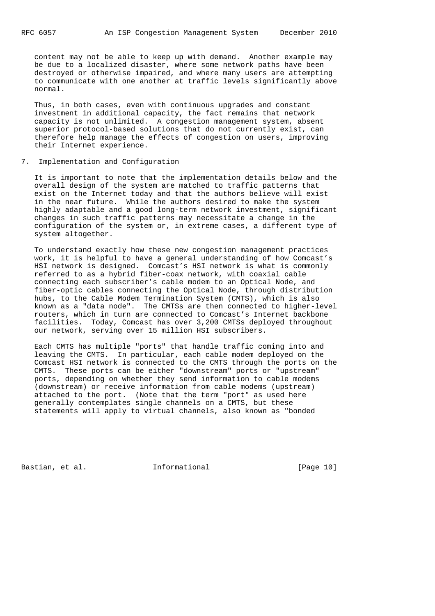content may not be able to keep up with demand. Another example may be due to a localized disaster, where some network paths have been destroyed or otherwise impaired, and where many users are attempting to communicate with one another at traffic levels significantly above normal.

 Thus, in both cases, even with continuous upgrades and constant investment in additional capacity, the fact remains that network capacity is not unlimited. A congestion management system, absent superior protocol-based solutions that do not currently exist, can therefore help manage the effects of congestion on users, improving their Internet experience.

7. Implementation and Configuration

 It is important to note that the implementation details below and the overall design of the system are matched to traffic patterns that exist on the Internet today and that the authors believe will exist in the near future. While the authors desired to make the system highly adaptable and a good long-term network investment, significant changes in such traffic patterns may necessitate a change in the configuration of the system or, in extreme cases, a different type of system altogether.

 To understand exactly how these new congestion management practices work, it is helpful to have a general understanding of how Comcast's HSI network is designed. Comcast's HSI network is what is commonly referred to as a hybrid fiber-coax network, with coaxial cable connecting each subscriber's cable modem to an Optical Node, and fiber-optic cables connecting the Optical Node, through distribution hubs, to the Cable Modem Termination System (CMTS), which is also known as a "data node". The CMTSs are then connected to higher-level routers, which in turn are connected to Comcast's Internet backbone facilities. Today, Comcast has over 3,200 CMTSs deployed throughout our network, serving over 15 million HSI subscribers.

 Each CMTS has multiple "ports" that handle traffic coming into and leaving the CMTS. In particular, each cable modem deployed on the Comcast HSI network is connected to the CMTS through the ports on the CMTS. These ports can be either "downstream" ports or "upstream" ports, depending on whether they send information to cable modems (downstream) or receive information from cable modems (upstream) attached to the port. (Note that the term "port" as used here generally contemplates single channels on a CMTS, but these statements will apply to virtual channels, also known as "bonded

Bastian, et al. **Informational** [Page 10]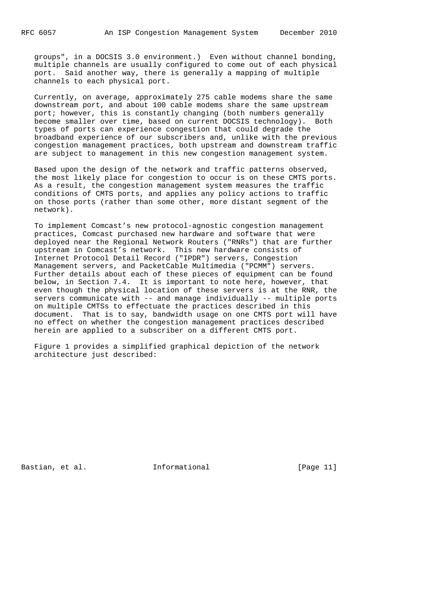groups", in a DOCSIS 3.0 environment.) Even without channel bonding, multiple channels are usually configured to come out of each physical port. Said another way, there is generally a mapping of multiple channels to each physical port.

 Currently, on average, approximately 275 cable modems share the same downstream port, and about 100 cable modems share the same upstream port; however, this is constantly changing (both numbers generally become smaller over time, based on current DOCSIS technology). Both types of ports can experience congestion that could degrade the broadband experience of our subscribers and, unlike with the previous congestion management practices, both upstream and downstream traffic are subject to management in this new congestion management system.

 Based upon the design of the network and traffic patterns observed, the most likely place for congestion to occur is on these CMTS ports. As a result, the congestion management system measures the traffic conditions of CMTS ports, and applies any policy actions to traffic on those ports (rather than some other, more distant segment of the network).

 To implement Comcast's new protocol-agnostic congestion management practices, Comcast purchased new hardware and software that were deployed near the Regional Network Routers ("RNRs") that are further upstream in Comcast's network. This new hardware consists of Internet Protocol Detail Record ("IPDR") servers, Congestion Management servers, and PacketCable Multimedia ("PCMM") servers. Further details about each of these pieces of equipment can be found below, in Section 7.4. It is important to note here, however, that even though the physical location of these servers is at the RNR, the servers communicate with -- and manage individually -- multiple ports on multiple CMTSs to effectuate the practices described in this document. That is to say, bandwidth usage on one CMTS port will have no effect on whether the congestion management practices described herein are applied to a subscriber on a different CMTS port.

 Figure 1 provides a simplified graphical depiction of the network architecture just described:

Bastian, et al. **Informational** [Page 11]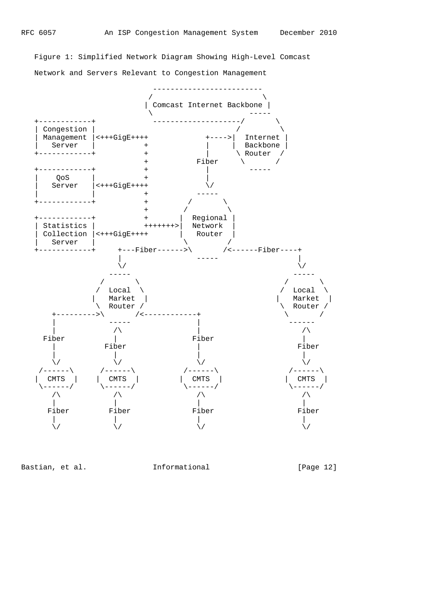Figure 1: Simplified Network Diagram Showing High-Level Comcast Network and Servers Relevant to Congestion Management



Bastian, et al. 1nformational [Page 12]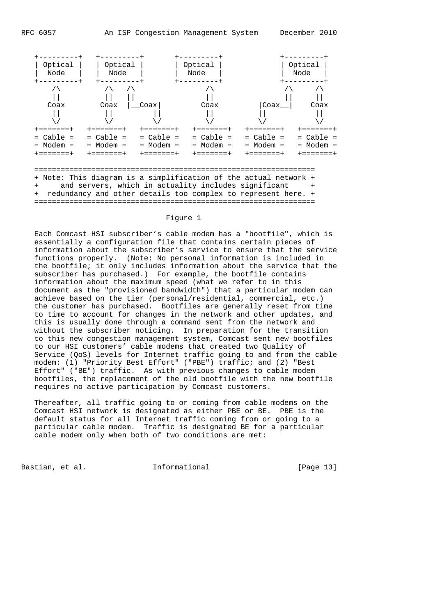

## Figure 1

 Each Comcast HSI subscriber's cable modem has a "bootfile", which is essentially a configuration file that contains certain pieces of information about the subscriber's service to ensure that the service functions properly. (Note: No personal information is included in the bootfile; it only includes information about the service that the subscriber has purchased.) For example, the bootfile contains information about the maximum speed (what we refer to in this document as the "provisioned bandwidth") that a particular modem can achieve based on the tier (personal/residential, commercial, etc.) the customer has purchased. Bootfiles are generally reset from time to time to account for changes in the network and other updates, and this is usually done through a command sent from the network and without the subscriber noticing. In preparation for the transition to this new congestion management system, Comcast sent new bootfiles to our HSI customers' cable modems that created two Quality of Service (QoS) levels for Internet traffic going to and from the cable modem: (1) "Priority Best Effort" ("PBE") traffic; and (2) "Best Effort" ("BE") traffic. As with previous changes to cable modem bootfiles, the replacement of the old bootfile with the new bootfile requires no active participation by Comcast customers.

 Thereafter, all traffic going to or coming from cable modems on the Comcast HSI network is designated as either PBE or BE. PBE is the default status for all Internet traffic coming from or going to a particular cable modem. Traffic is designated BE for a particular cable modem only when both of two conditions are met:

Bastian, et al. **Informational** [Page 13]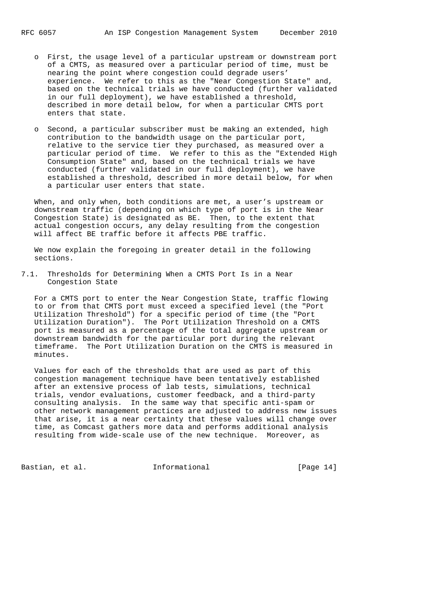- o First, the usage level of a particular upstream or downstream port of a CMTS, as measured over a particular period of time, must be nearing the point where congestion could degrade users' experience. We refer to this as the "Near Congestion State" and, based on the technical trials we have conducted (further validated in our full deployment), we have established a threshold, described in more detail below, for when a particular CMTS port enters that state.
- o Second, a particular subscriber must be making an extended, high contribution to the bandwidth usage on the particular port, relative to the service tier they purchased, as measured over a particular period of time. We refer to this as the "Extended High Consumption State" and, based on the technical trials we have conducted (further validated in our full deployment), we have established a threshold, described in more detail below, for when a particular user enters that state.

 When, and only when, both conditions are met, a user's upstream or downstream traffic (depending on which type of port is in the Near Congestion State) is designated as BE. Then, to the extent that actual congestion occurs, any delay resulting from the congestion will affect BE traffic before it affects PBE traffic.

 We now explain the foregoing in greater detail in the following sections.

7.1. Thresholds for Determining When a CMTS Port Is in a Near Congestion State

 For a CMTS port to enter the Near Congestion State, traffic flowing to or from that CMTS port must exceed a specified level (the "Port Utilization Threshold") for a specific period of time (the "Port Utilization Duration"). The Port Utilization Threshold on a CMTS port is measured as a percentage of the total aggregate upstream or downstream bandwidth for the particular port during the relevant timeframe. The Port Utilization Duration on the CMTS is measured in minutes.

 Values for each of the thresholds that are used as part of this congestion management technique have been tentatively established after an extensive process of lab tests, simulations, technical trials, vendor evaluations, customer feedback, and a third-party consulting analysis. In the same way that specific anti-spam or other network management practices are adjusted to address new issues that arise, it is a near certainty that these values will change over time, as Comcast gathers more data and performs additional analysis resulting from wide-scale use of the new technique. Moreover, as

Bastian, et al. **Informational** [Page 14]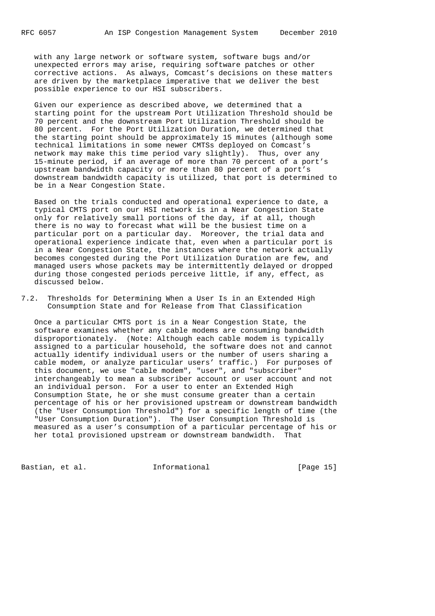with any large network or software system, software bugs and/or unexpected errors may arise, requiring software patches or other corrective actions. As always, Comcast's decisions on these matters are driven by the marketplace imperative that we deliver the best possible experience to our HSI subscribers.

 Given our experience as described above, we determined that a starting point for the upstream Port Utilization Threshold should be 70 percent and the downstream Port Utilization Threshold should be 80 percent. For the Port Utilization Duration, we determined that the starting point should be approximately 15 minutes (although some technical limitations in some newer CMTSs deployed on Comcast's network may make this time period vary slightly). Thus, over any 15-minute period, if an average of more than 70 percent of a port's upstream bandwidth capacity or more than 80 percent of a port's downstream bandwidth capacity is utilized, that port is determined to be in a Near Congestion State.

 Based on the trials conducted and operational experience to date, a typical CMTS port on our HSI network is in a Near Congestion State only for relatively small portions of the day, if at all, though there is no way to forecast what will be the busiest time on a particular port on a particular day. Moreover, the trial data and operational experience indicate that, even when a particular port is in a Near Congestion State, the instances where the network actually becomes congested during the Port Utilization Duration are few, and managed users whose packets may be intermittently delayed or dropped during those congested periods perceive little, if any, effect, as discussed below.

7.2. Thresholds for Determining When a User Is in an Extended High Consumption State and for Release from That Classification

 Once a particular CMTS port is in a Near Congestion State, the software examines whether any cable modems are consuming bandwidth disproportionately. (Note: Although each cable modem is typically assigned to a particular household, the software does not and cannot actually identify individual users or the number of users sharing a cable modem, or analyze particular users' traffic.) For purposes of this document, we use "cable modem", "user", and "subscriber" interchangeably to mean a subscriber account or user account and not an individual person. For a user to enter an Extended High Consumption State, he or she must consume greater than a certain percentage of his or her provisioned upstream or downstream bandwidth (the "User Consumption Threshold") for a specific length of time (the "User Consumption Duration"). The User Consumption Threshold is measured as a user's consumption of a particular percentage of his or her total provisioned upstream or downstream bandwidth. That

Bastian, et al. **Informational** [Page 15]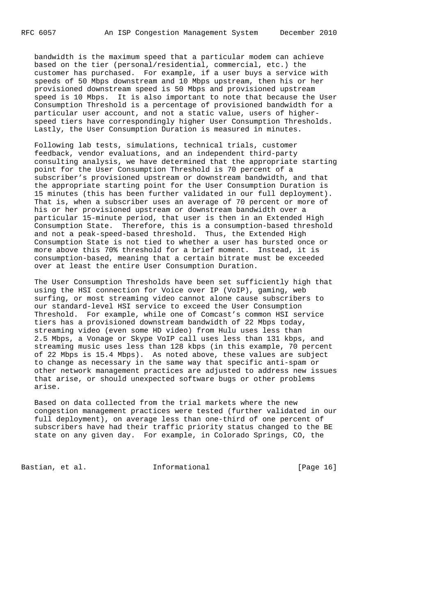bandwidth is the maximum speed that a particular modem can achieve based on the tier (personal/residential, commercial, etc.) the customer has purchased. For example, if a user buys a service with speeds of 50 Mbps downstream and 10 Mbps upstream, then his or her provisioned downstream speed is 50 Mbps and provisioned upstream speed is 10 Mbps. It is also important to note that because the User Consumption Threshold is a percentage of provisioned bandwidth for a particular user account, and not a static value, users of higher speed tiers have correspondingly higher User Consumption Thresholds. Lastly, the User Consumption Duration is measured in minutes.

 Following lab tests, simulations, technical trials, customer feedback, vendor evaluations, and an independent third-party consulting analysis, we have determined that the appropriate starting point for the User Consumption Threshold is 70 percent of a subscriber's provisioned upstream or downstream bandwidth, and that the appropriate starting point for the User Consumption Duration is 15 minutes (this has been further validated in our full deployment). That is, when a subscriber uses an average of 70 percent or more of his or her provisioned upstream or downstream bandwidth over a particular 15-minute period, that user is then in an Extended High Consumption State. Therefore, this is a consumption-based threshold and not a peak-speed-based threshold. Thus, the Extended High Consumption State is not tied to whether a user has bursted once or more above this 70% threshold for a brief moment. Instead, it is consumption-based, meaning that a certain bitrate must be exceeded over at least the entire User Consumption Duration.

 The User Consumption Thresholds have been set sufficiently high that using the HSI connection for Voice over IP (VoIP), gaming, web surfing, or most streaming video cannot alone cause subscribers to our standard-level HSI service to exceed the User Consumption Threshold. For example, while one of Comcast's common HSI service tiers has a provisioned downstream bandwidth of 22 Mbps today, streaming video (even some HD video) from Hulu uses less than 2.5 Mbps, a Vonage or Skype VoIP call uses less than 131 kbps, and streaming music uses less than 128 kbps (in this example, 70 percent of 22 Mbps is 15.4 Mbps). As noted above, these values are subject to change as necessary in the same way that specific anti-spam or other network management practices are adjusted to address new issues that arise, or should unexpected software bugs or other problems arise.

 Based on data collected from the trial markets where the new congestion management practices were tested (further validated in our full deployment), on average less than one-third of one percent of subscribers have had their traffic priority status changed to the BE state on any given day. For example, in Colorado Springs, CO, the

Bastian, et al. **Informational** [Page 16]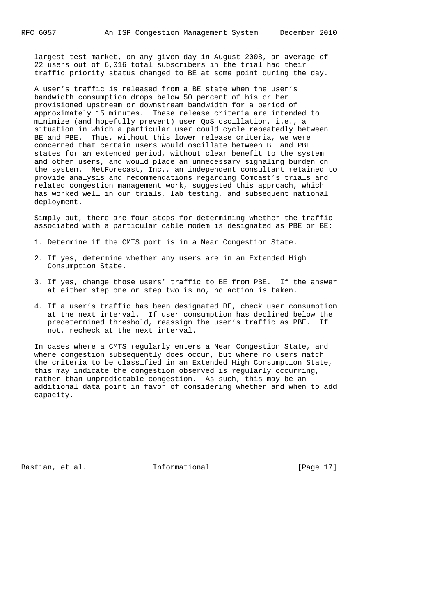largest test market, on any given day in August 2008, an average of 22 users out of 6,016 total subscribers in the trial had their traffic priority status changed to BE at some point during the day.

 A user's traffic is released from a BE state when the user's bandwidth consumption drops below 50 percent of his or her provisioned upstream or downstream bandwidth for a period of approximately 15 minutes. These release criteria are intended to minimize (and hopefully prevent) user QoS oscillation, i.e., a situation in which a particular user could cycle repeatedly between BE and PBE. Thus, without this lower release criteria, we were concerned that certain users would oscillate between BE and PBE states for an extended period, without clear benefit to the system and other users, and would place an unnecessary signaling burden on the system. NetForecast, Inc., an independent consultant retained to provide analysis and recommendations regarding Comcast's trials and related congestion management work, suggested this approach, which has worked well in our trials, lab testing, and subsequent national deployment.

 Simply put, there are four steps for determining whether the traffic associated with a particular cable modem is designated as PBE or BE:

- 1. Determine if the CMTS port is in a Near Congestion State.
- 2. If yes, determine whether any users are in an Extended High Consumption State.
- 3. If yes, change those users' traffic to BE from PBE. If the answer at either step one or step two is no, no action is taken.
- 4. If a user's traffic has been designated BE, check user consumption at the next interval. If user consumption has declined below the predetermined threshold, reassign the user's traffic as PBE. If not, recheck at the next interval.

 In cases where a CMTS regularly enters a Near Congestion State, and where congestion subsequently does occur, but where no users match the criteria to be classified in an Extended High Consumption State, this may indicate the congestion observed is regularly occurring, rather than unpredictable congestion. As such, this may be an additional data point in favor of considering whether and when to add capacity.

Bastian, et al. **Informational** [Page 17]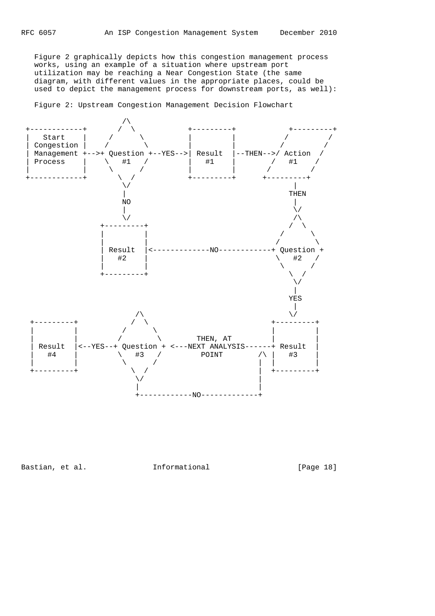Figure 2 graphically depicts how this congestion management process works, using an example of a situation where upstream port utilization may be reaching a Near Congestion State (the same diagram, with different values in the appropriate places, could be used to depict the management process for downstream ports, as well):

Figure 2: Upstream Congestion Management Decision Flowchart



Bastian, et al. 1nformational [Page 18]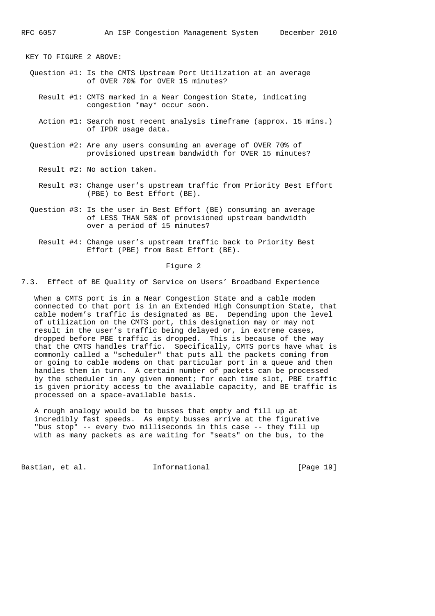KEY TO FIGURE 2 ABOVE:

- Question #1: Is the CMTS Upstream Port Utilization at an average of OVER 70% for OVER 15 minutes?
	- Result #1: CMTS marked in a Near Congestion State, indicating congestion \*may\* occur soon.
	- Action #1: Search most recent analysis timeframe (approx. 15 mins.) of IPDR usage data.
- Question #2: Are any users consuming an average of OVER 70% of provisioned upstream bandwidth for OVER 15 minutes?
	- Result #2: No action taken.
	- Result #3: Change user's upstream traffic from Priority Best Effort (PBE) to Best Effort (BE).
- Question #3: Is the user in Best Effort (BE) consuming an average of LESS THAN 50% of provisioned upstream bandwidth over a period of 15 minutes?
	- Result #4: Change user's upstream traffic back to Priority Best Effort (PBE) from Best Effort (BE).

#### Figure 2

7.3. Effect of BE Quality of Service on Users' Broadband Experience

 When a CMTS port is in a Near Congestion State and a cable modem connected to that port is in an Extended High Consumption State, that cable modem's traffic is designated as BE. Depending upon the level of utilization on the CMTS port, this designation may or may not result in the user's traffic being delayed or, in extreme cases, dropped before PBE traffic is dropped. This is because of the way that the CMTS handles traffic. Specifically, CMTS ports have what is commonly called a "scheduler" that puts all the packets coming from or going to cable modems on that particular port in a queue and then handles them in turn. A certain number of packets can be processed by the scheduler in any given moment; for each time slot, PBE traffic is given priority access to the available capacity, and BE traffic is processed on a space-available basis.

 A rough analogy would be to busses that empty and fill up at incredibly fast speeds. As empty busses arrive at the figurative "bus stop" -- every two milliseconds in this case -- they fill up with as many packets as are waiting for "seats" on the bus, to the

Bastian, et al. **Informational** [Page 19]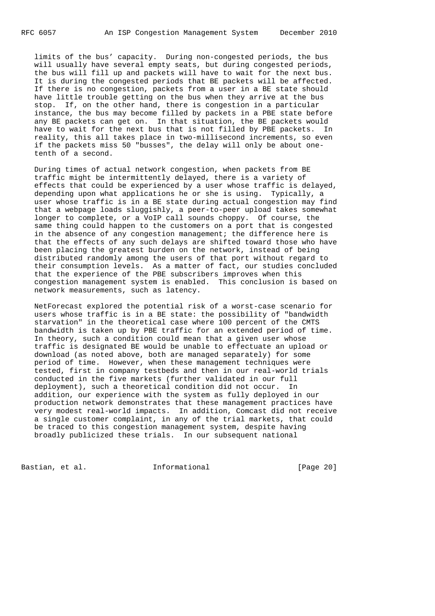limits of the bus' capacity. During non-congested periods, the bus will usually have several empty seats, but during congested periods, the bus will fill up and packets will have to wait for the next bus. It is during the congested periods that BE packets will be affected. If there is no congestion, packets from a user in a BE state should have little trouble getting on the bus when they arrive at the bus stop. If, on the other hand, there is congestion in a particular instance, the bus may become filled by packets in a PBE state before any BE packets can get on. In that situation, the BE packets would have to wait for the next bus that is not filled by PBE packets. In reality, this all takes place in two-millisecond increments, so even if the packets miss 50 "busses", the delay will only be about one tenth of a second.

 During times of actual network congestion, when packets from BE traffic might be intermittently delayed, there is a variety of effects that could be experienced by a user whose traffic is delayed, depending upon what applications he or she is using. Typically, a user whose traffic is in a BE state during actual congestion may find that a webpage loads sluggishly, a peer-to-peer upload takes somewhat longer to complete, or a VoIP call sounds choppy. Of course, the same thing could happen to the customers on a port that is congested in the absence of any congestion management; the difference here is that the effects of any such delays are shifted toward those who have been placing the greatest burden on the network, instead of being distributed randomly among the users of that port without regard to their consumption levels. As a matter of fact, our studies concluded that the experience of the PBE subscribers improves when this congestion management system is enabled. This conclusion is based on network measurements, such as latency.

 NetForecast explored the potential risk of a worst-case scenario for users whose traffic is in a BE state: the possibility of "bandwidth starvation" in the theoretical case where 100 percent of the CMTS bandwidth is taken up by PBE traffic for an extended period of time. In theory, such a condition could mean that a given user whose traffic is designated BE would be unable to effectuate an upload or download (as noted above, both are managed separately) for some period of time. However, when these management techniques were tested, first in company testbeds and then in our real-world trials conducted in the five markets (further validated in our full deployment), such a theoretical condition did not occur. In addition, our experience with the system as fully deployed in our production network demonstrates that these management practices have very modest real-world impacts. In addition, Comcast did not receive a single customer complaint, in any of the trial markets, that could be traced to this congestion management system, despite having broadly publicized these trials. In our subsequent national

Bastian, et al. **Informational** [Page 20]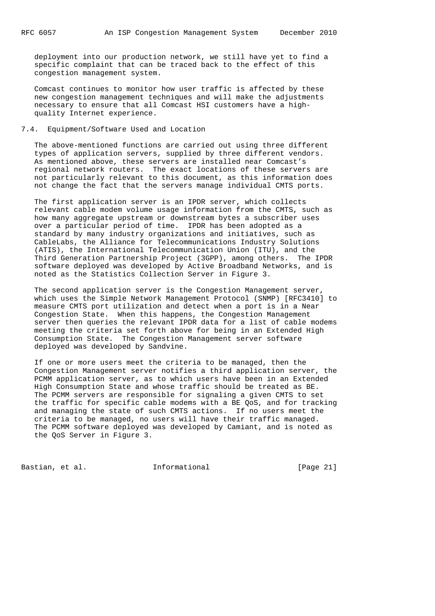deployment into our production network, we still have yet to find a specific complaint that can be traced back to the effect of this congestion management system.

 Comcast continues to monitor how user traffic is affected by these new congestion management techniques and will make the adjustments necessary to ensure that all Comcast HSI customers have a high quality Internet experience.

## 7.4. Equipment/Software Used and Location

 The above-mentioned functions are carried out using three different types of application servers, supplied by three different vendors. As mentioned above, these servers are installed near Comcast's regional network routers. The exact locations of these servers are not particularly relevant to this document, as this information does not change the fact that the servers manage individual CMTS ports.

 The first application server is an IPDR server, which collects relevant cable modem volume usage information from the CMTS, such as how many aggregate upstream or downstream bytes a subscriber uses over a particular period of time. IPDR has been adopted as a standard by many industry organizations and initiatives, such as CableLabs, the Alliance for Telecommunications Industry Solutions (ATIS), the International Telecommunication Union (ITU), and the Third Generation Partnership Project (3GPP), among others. The IPDR software deployed was developed by Active Broadband Networks, and is noted as the Statistics Collection Server in Figure 3.

 The second application server is the Congestion Management server, which uses the Simple Network Management Protocol (SNMP) [RFC3410] to measure CMTS port utilization and detect when a port is in a Near Congestion State. When this happens, the Congestion Management server then queries the relevant IPDR data for a list of cable modems meeting the criteria set forth above for being in an Extended High Consumption State. The Congestion Management server software deployed was developed by Sandvine.

 If one or more users meet the criteria to be managed, then the Congestion Management server notifies a third application server, the PCMM application server, as to which users have been in an Extended High Consumption State and whose traffic should be treated as BE. The PCMM servers are responsible for signaling a given CMTS to set the traffic for specific cable modems with a BE QoS, and for tracking and managing the state of such CMTS actions. If no users meet the criteria to be managed, no users will have their traffic managed. The PCMM software deployed was developed by Camiant, and is noted as the QoS Server in Figure 3.

Bastian, et al. **Informational** [Page 21]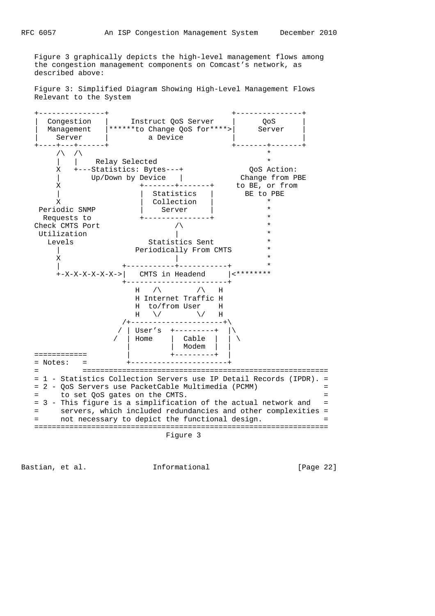Figure 3 graphically depicts the high-level management flows among the congestion management components on Comcast's network, as

 Figure 3: Simplified Diagram Showing High-Level Management Flows Relevant to the System



Bastian, et al. **Informational** [Page 22]

described above: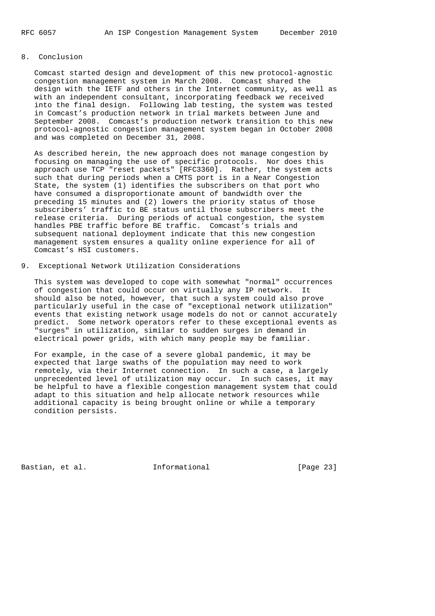# 8. Conclusion

 Comcast started design and development of this new protocol-agnostic congestion management system in March 2008. Comcast shared the design with the IETF and others in the Internet community, as well as with an independent consultant, incorporating feedback we received into the final design. Following lab testing, the system was tested in Comcast's production network in trial markets between June and September 2008. Comcast's production network transition to this new protocol-agnostic congestion management system began in October 2008 and was completed on December 31, 2008.

 As described herein, the new approach does not manage congestion by focusing on managing the use of specific protocols. Nor does this approach use TCP "reset packets" [RFC3360]. Rather, the system acts such that during periods when a CMTS port is in a Near Congestion State, the system (1) identifies the subscribers on that port who have consumed a disproportionate amount of bandwidth over the preceding 15 minutes and (2) lowers the priority status of those subscribers' traffic to BE status until those subscribers meet the release criteria. During periods of actual congestion, the system handles PBE traffic before BE traffic. Comcast's trials and subsequent national deployment indicate that this new congestion management system ensures a quality online experience for all of Comcast's HSI customers.

## 9. Exceptional Network Utilization Considerations

 This system was developed to cope with somewhat "normal" occurrences of congestion that could occur on virtually any IP network. It should also be noted, however, that such a system could also prove particularly useful in the case of "exceptional network utilization" events that existing network usage models do not or cannot accurately predict. Some network operators refer to these exceptional events as "surges" in utilization, similar to sudden surges in demand in electrical power grids, with which many people may be familiar.

 For example, in the case of a severe global pandemic, it may be expected that large swaths of the population may need to work remotely, via their Internet connection. In such a case, a largely unprecedented level of utilization may occur. In such cases, it may be helpful to have a flexible congestion management system that could adapt to this situation and help allocate network resources while additional capacity is being brought online or while a temporary condition persists.

Bastian, et al. **Informational** [Page 23]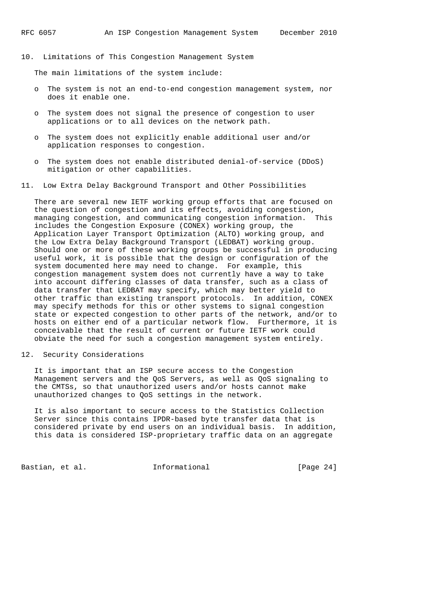10. Limitations of This Congestion Management System

The main limitations of the system include:

- o The system is not an end-to-end congestion management system, nor does it enable one.
- o The system does not signal the presence of congestion to user applications or to all devices on the network path.
- o The system does not explicitly enable additional user and/or application responses to congestion.
- o The system does not enable distributed denial-of-service (DDoS) mitigation or other capabilities.
- 11. Low Extra Delay Background Transport and Other Possibilities

 There are several new IETF working group efforts that are focused on the question of congestion and its effects, avoiding congestion, managing congestion, and communicating congestion information. This includes the Congestion Exposure (CONEX) working group, the Application Layer Transport Optimization (ALTO) working group, and the Low Extra Delay Background Transport (LEDBAT) working group. Should one or more of these working groups be successful in producing useful work, it is possible that the design or configuration of the system documented here may need to change. For example, this congestion management system does not currently have a way to take into account differing classes of data transfer, such as a class of data transfer that LEDBAT may specify, which may better yield to other traffic than existing transport protocols. In addition, CONEX may specify methods for this or other systems to signal congestion state or expected congestion to other parts of the network, and/or to hosts on either end of a particular network flow. Furthermore, it is conceivable that the result of current or future IETF work could obviate the need for such a congestion management system entirely.

12. Security Considerations

 It is important that an ISP secure access to the Congestion Management servers and the QoS Servers, as well as QoS signaling to the CMTSs, so that unauthorized users and/or hosts cannot make unauthorized changes to QoS settings in the network.

 It is also important to secure access to the Statistics Collection Server since this contains IPDR-based byte transfer data that is considered private by end users on an individual basis. In addition, this data is considered ISP-proprietary traffic data on an aggregate

Bastian, et al. **Informational** [Page 24]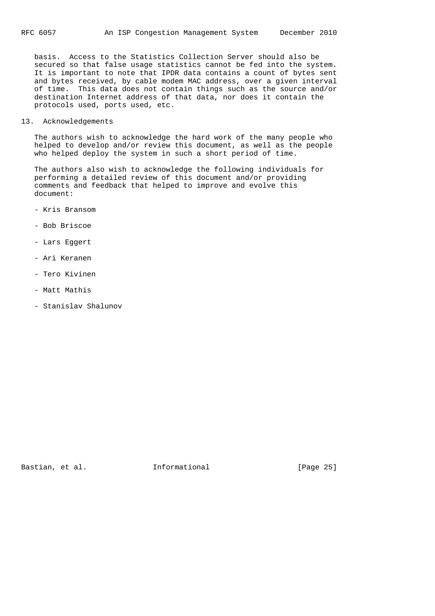basis. Access to the Statistics Collection Server should also be secured so that false usage statistics cannot be fed into the system. It is important to note that IPDR data contains a count of bytes sent and bytes received, by cable modem MAC address, over a given interval of time. This data does not contain things such as the source and/or destination Internet address of that data, nor does it contain the protocols used, ports used, etc.

13. Acknowledgements

 The authors wish to acknowledge the hard work of the many people who helped to develop and/or review this document, as well as the people who helped deploy the system in such a short period of time.

 The authors also wish to acknowledge the following individuals for performing a detailed review of this document and/or providing comments and feedback that helped to improve and evolve this document:

- Kris Bransom
- Bob Briscoe
- Lars Eggert
- Ari Keranen
- Tero Kivinen
- Matt Mathis
- Stanislav Shalunov

Bastian, et al. 1nformational [Page 25]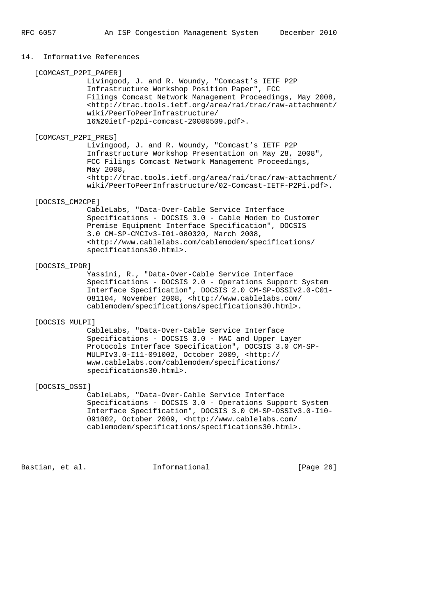## 14. Informative References

 [COMCAST\_P2PI\_PAPER] Livingood, J. and R. Woundy, "Comcast's IETF P2P Infrastructure Workshop Position Paper", FCC Filings Comcast Network Management Proceedings, May 2008, <http://trac.tools.ietf.org/area/rai/trac/raw-attachment/ wiki/PeerToPeerInfrastructure/ 16%20ietf-p2pi-comcast-20080509.pdf>.

[COMCAST\_P2PI\_PRES]

 Livingood, J. and R. Woundy, "Comcast's IETF P2P Infrastructure Workshop Presentation on May 28, 2008", FCC Filings Comcast Network Management Proceedings, May 2008, <http://trac.tools.ietf.org/area/rai/trac/raw-attachment/ wiki/PeerToPeerInfrastructure/02-Comcast-IETF-P2Pi.pdf>.

## [DOCSIS\_CM2CPE]

 CableLabs, "Data-Over-Cable Service Interface Specifications - DOCSIS 3.0 - Cable Modem to Customer Premise Equipment Interface Specification", DOCSIS 3.0 CM-SP-CMCIv3-I01-080320, March 2008, <http://www.cablelabs.com/cablemodem/specifications/ specifications30.html>.

#### [DOCSIS\_IPDR]

 Yassini, R., "Data-Over-Cable Service Interface Specifications - DOCSIS 2.0 - Operations Support System Interface Specification", DOCSIS 2.0 CM-SP-OSSIv2.0-C01- 081104, November 2008, <http://www.cablelabs.com/ cablemodem/specifications/specifications30.html>.

#### [DOCSIS\_MULPI]

 CableLabs, "Data-Over-Cable Service Interface Specifications - DOCSIS 3.0 - MAC and Upper Layer Protocols Interface Specification", DOCSIS 3.0 CM-SP- MULPIv3.0-I11-091002, October 2009, <http:// www.cablelabs.com/cablemodem/specifications/ specifications30.html>.

## [DOCSIS\_OSSI]

 CableLabs, "Data-Over-Cable Service Interface Specifications - DOCSIS 3.0 - Operations Support System Interface Specification", DOCSIS 3.0 CM-SP-OSSIv3.0-I10- 091002, October 2009, <http://www.cablelabs.com/ cablemodem/specifications/specifications30.html>.

Bastian, et al. **Informational** [Page 26]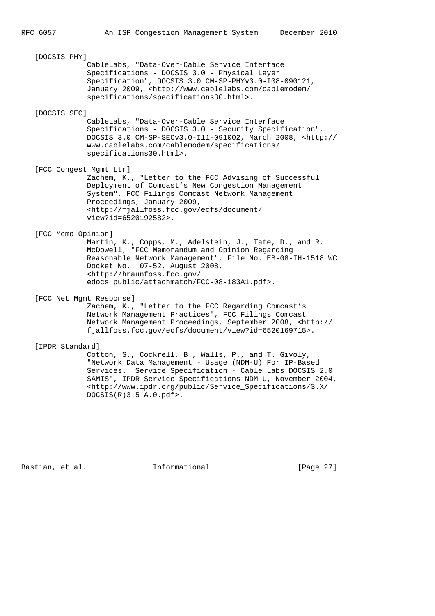# [DOCSIS\_PHY] CableLabs, "Data-Over-Cable Service Interface Specifications - DOCSIS 3.0 - Physical Layer Specification", DOCSIS 3.0 CM-SP-PHYv3.0-I08-090121, January 2009, <http://www.cablelabs.com/cablemodem/ specifications/specifications30.html>. [DOCSIS\_SEC] CableLabs, "Data-Over-Cable Service Interface Specifications - DOCSIS 3.0 - Security Specification", DOCSIS 3.0 CM-SP-SECv3.0-I11-091002, March 2008, <http:// www.cablelabs.com/cablemodem/specifications/ specifications30.html>. [FCC\_Congest\_Mgmt\_Ltr] Zachem, K., "Letter to the FCC Advising of Successful Deployment of Comcast's New Congestion Management System", FCC Filings Comcast Network Management Proceedings, January 2009, <http://fjallfoss.fcc.gov/ecfs/document/ view?id=6520192582>. [FCC\_Memo\_Opinion] Martin, K., Copps, M., Adelstein, J., Tate, D., and R. McDowell, "FCC Memorandum and Opinion Regarding Reasonable Network Management", File No. EB-08-IH-1518 WC Docket No. 07-52, August 2008, <http://hraunfoss.fcc.gov/ edocs\_public/attachmatch/FCC-08-183A1.pdf>. [FCC\_Net\_Mgmt\_Response] Zachem, K., "Letter to the FCC Regarding Comcast's Network Management Practices", FCC Filings Comcast Network Management Proceedings, September 2008, <http://

fjallfoss.fcc.gov/ecfs/document/view?id=6520169715>.

## [IPDR\_Standard]

 Cotton, S., Cockrell, B., Walls, P., and T. Givoly, "Network Data Management - Usage (NDM-U) For IP-Based Services. Service Specification - Cable Labs DOCSIS 2.0 SAMIS", IPDR Service Specifications NDM-U, November 2004, <http://www.ipdr.org/public/Service\_Specifications/3.X/ DOCSIS(R)3.5-A.0.pdf>.

Bastian, et al. **Informational** [Page 27]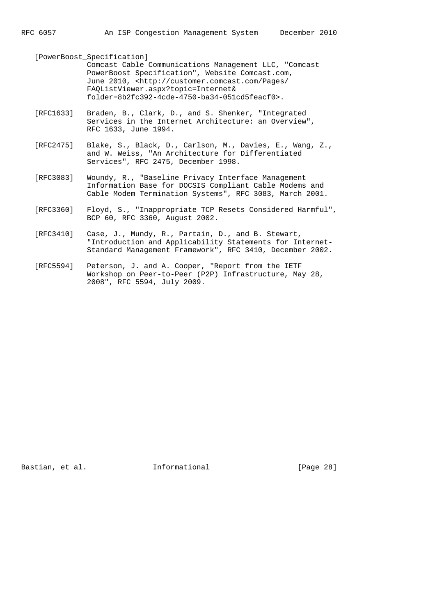[PowerBoost\_Specification] Comcast Cable Communications Management LLC, "Comcast PowerBoost Specification", Website Comcast.com, June 2010, <http://customer.comcast.com/Pages/ FAQListViewer.aspx?topic=Internet& folder=8b2fc392-4cde-4750-ba34-051cd5feacf0>.

- [RFC1633] Braden, B., Clark, D., and S. Shenker, "Integrated Services in the Internet Architecture: an Overview", RFC 1633, June 1994.
- [RFC2475] Blake, S., Black, D., Carlson, M., Davies, E., Wang, Z., and W. Weiss, "An Architecture for Differentiated Services", RFC 2475, December 1998.
- [RFC3083] Woundy, R., "Baseline Privacy Interface Management Information Base for DOCSIS Compliant Cable Modems and Cable Modem Termination Systems", RFC 3083, March 2001.
- [RFC3360] Floyd, S., "Inappropriate TCP Resets Considered Harmful", BCP 60, RFC 3360, August 2002.
- [RFC3410] Case, J., Mundy, R., Partain, D., and B. Stewart, "Introduction and Applicability Statements for Internet- Standard Management Framework", RFC 3410, December 2002.
	- [RFC5594] Peterson, J. and A. Cooper, "Report from the IETF Workshop on Peer-to-Peer (P2P) Infrastructure, May 28, 2008", RFC 5594, July 2009.

Bastian, et al. **Informational** [Page 28]